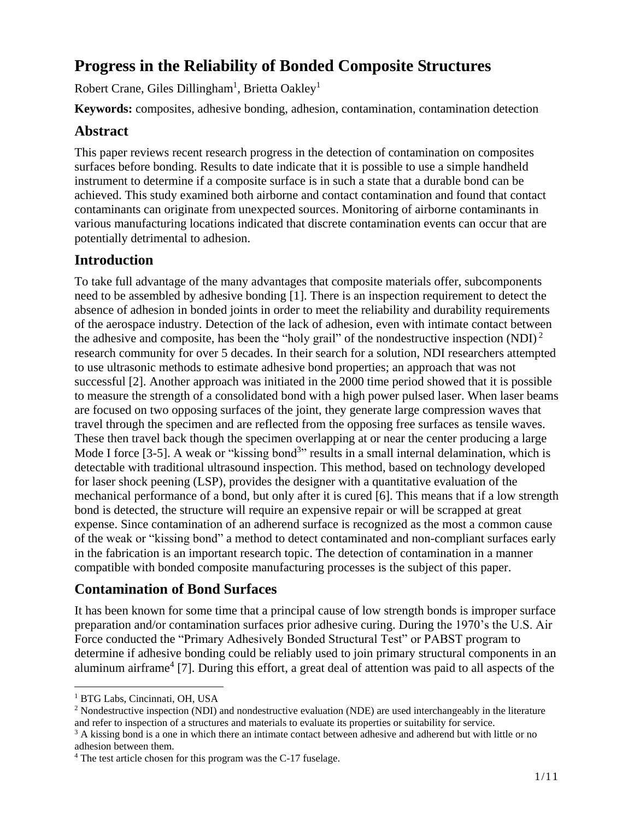# **Progress in the Reliability of Bonded Composite Structures**

Robert Crane, Giles Dillingham<sup>1</sup>, Brietta Oakley<sup>1</sup>

**Keywords:** composites, adhesive bonding, adhesion, contamination, contamination detection

## **Abstract**

This paper reviews recent research progress in the detection of contamination on composites surfaces before bonding. Results to date indicate that it is possible to use a simple handheld instrument to determine if a composite surface is in such a state that a durable bond can be achieved. This study examined both airborne and contact contamination and found that contact contaminants can originate from unexpected sources. Monitoring of airborne contaminants in various manufacturing locations indicated that discrete contamination events can occur that are potentially detrimental to adhesion.

# **Introduction**

To take full advantage of the many advantages that composite materials offer, subcomponents need to be assembled by adhesive bonding [\[1\]](#page-8-0). There is an inspection requirement to detect the absence of adhesion in bonded joints in order to meet the reliability and durability requirements of the aerospace industry. Detection of the lack of adhesion, even with intimate contact between the adhesive and composite, has been the "holy grail" of the nondestructive inspection (NDI) $^2$ research community for over 5 decades. In their search for a solution, NDI researchers attempted to use ultrasonic methods to estimate adhesive bond properties; an approach that was not successful [\[2\]](#page-8-1). Another approach was initiated in the 2000 time period showed that it is possible to measure the strength of a consolidated bond with a high power pulsed laser. When laser beams are focused on two opposing surfaces of the joint, they generate large compression waves that travel through the specimen and are reflected from the opposing free surfaces as tensile waves. These then travel back though the specimen overlapping at or near the center producing a large Mode I force [\[3-5\]](#page-8-2). A weak or "kissing bond<sup>3</sup>" results in a small internal delamination, which is detectable with traditional ultrasound inspection. This method, based on technology developed for laser shock peening (LSP), provides the designer with a quantitative evaluation of the mechanical performance of a bond, but only after it is cured [\[6\]](#page-8-3). This means that if a low strength bond is detected, the structure will require an expensive repair or will be scrapped at great expense. Since contamination of an adherend surface is recognized as the most a common cause of the weak or "kissing bond" a method to detect contaminated and non-compliant surfaces early in the fabrication is an important research topic. The detection of contamination in a manner compatible with bonded composite manufacturing processes is the subject of this paper.

### **Contamination of Bond Surfaces**

It has been known for some time that a principal cause of low strength bonds is improper surface preparation and/or contamination surfaces prior adhesive curing. During the 1970's the U.S. Air Force conducted the "Primary Adhesively Bonded Structural Test" or PABST program to determine if adhesive bonding could be reliably used to join primary structural components in an aluminum airframe<sup>4</sup> [\[7\]](#page-8-4). During this effort, a great deal of attention was paid to all aspects of the

 $\overline{a}$ 

<sup>&</sup>lt;sup>1</sup> BTG Labs, Cincinnati, OH, USA

<sup>2</sup> Nondestructive inspection (NDI) and nondestructive evaluation (NDE) are used interchangeably in the literature and refer to inspection of a structures and materials to evaluate its properties or suitability for service.

<sup>&</sup>lt;sup>3</sup> A kissing bond is a one in which there an intimate contact between adhesive and adherend but with little or no adhesion between them.

<sup>4</sup> The test article chosen for this program was the C-17 fuselage.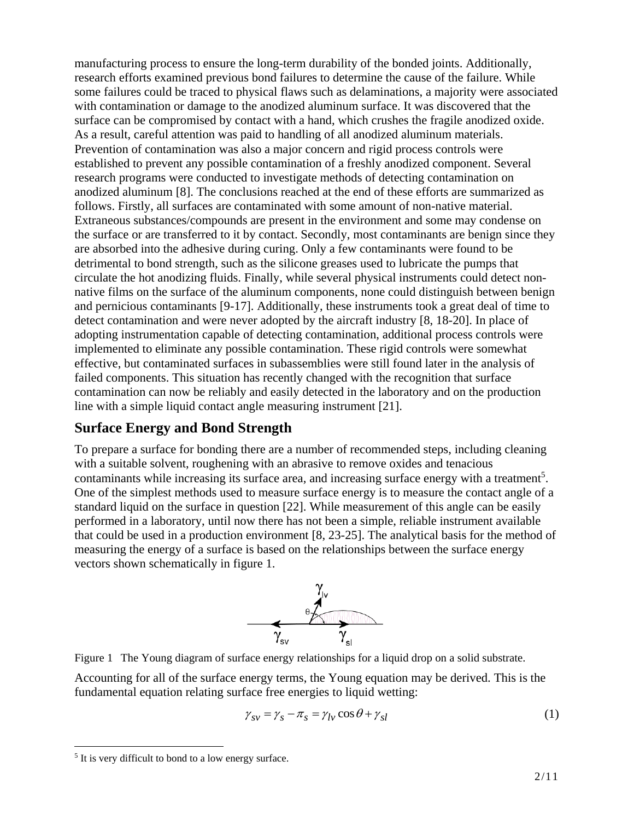manufacturing process to ensure the long-term durability of the bonded joints. Additionally, research efforts examined previous bond failures to determine the cause of the failure. While some failures could be traced to physical flaws such as delaminations, a majority were associated with contamination or damage to the anodized aluminum surface. It was discovered that the surface can be compromised by contact with a hand, which crushes the fragile anodized oxide. As a result, careful attention was paid to handling of all anodized aluminum materials. Prevention of contamination was also a major concern and rigid process controls were established to prevent any possible contamination of a freshly anodized component. Several research programs were conducted to investigate methods of detecting contamination on anodized aluminum [\[8\]](#page-8-5). The conclusions reached at the end of these efforts are summarized as follows. Firstly, all surfaces are contaminated with some amount of non-native material. Extraneous substances/compounds are present in the environment and some may condense on the surface or are transferred to it by contact. Secondly, most contaminants are benign since they are absorbed into the adhesive during curing. Only a few contaminants were found to be detrimental to bond strength, such as the silicone greases used to lubricate the pumps that circulate the hot anodizing fluids. Finally, while several physical instruments could detect nonnative films on the surface of the aluminum components, none could distinguish between benign and pernicious contaminants [\[9-17\]](#page-8-6). Additionally, these instruments took a great deal of time to detect contamination and were never adopted by the aircraft industry [\[8,](#page-8-5) [18-20\]](#page-9-0). In place of adopting instrumentation capable of detecting contamination, additional process controls were implemented to eliminate any possible contamination. These rigid controls were somewhat effective, but contaminated surfaces in subassemblies were still found later in the analysis of failed components. This situation has recently changed with the recognition that surface contamination can now be reliably and easily detected in the laboratory and on the production line with a simple liquid contact angle measuring instrument [\[21\]](#page-9-1).

#### **Surface Energy and Bond Strength**

To prepare a surface for bonding there are a number of recommended steps, including cleaning with a suitable solvent, roughening with an abrasive to remove oxides and tenacious contaminants while increasing its surface area, and increasing surface energy with a treatment<sup>5</sup>. One of the simplest methods used to measure surface energy is to measure the contact angle of a standard liquid on the surface in question [\[22\]](#page-9-2). While measurement of this angle can be easily performed in a laboratory, until now there has not been a simple, reliable instrument available that could be used in a production environment [\[8,](#page-8-5) [23-25\]](#page-9-3). The analytical basis for the method of measuring the energy of a surface is based on the relationships between the surface energy vectors shown schematically in figure 1.



Figure 1 The Young diagram of surface energy relationships for a liquid drop on a solid substrate.

Accounting for all of the surface energy terms, the Young equation may be derived. This is the fundamental equation relating surface free energies to liquid wetting:

$$
\gamma_{sv} = \gamma_s - \pi_s = \gamma_{lv} \cos \theta + \gamma_{sl} \tag{1}
$$

 $\overline{a}$ 

<sup>&</sup>lt;sup>5</sup> It is very difficult to bond to a low energy surface.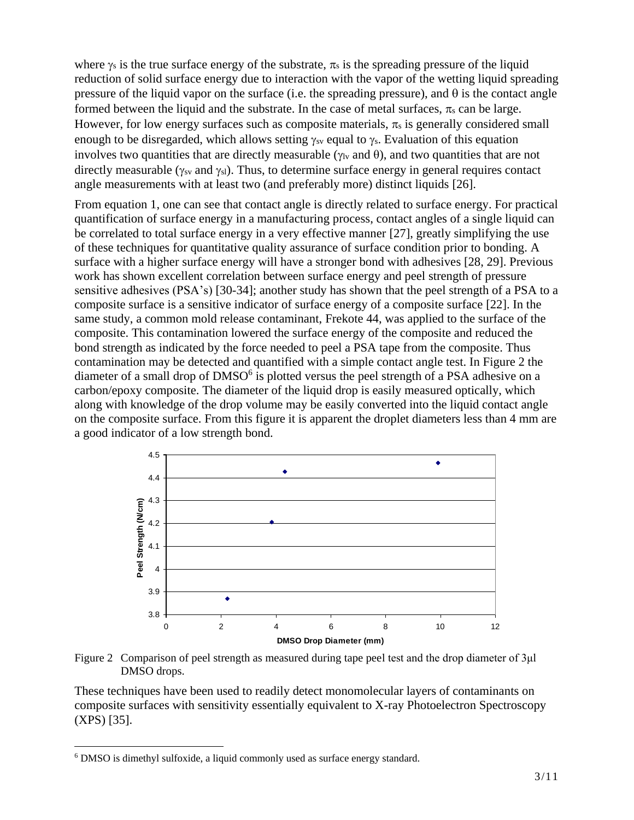where  $\gamma_s$  is the true surface energy of the substrate,  $\pi_s$  is the spreading pressure of the liquid reduction of solid surface energy due to interaction with the vapor of the wetting liquid spreading pressure of the liquid vapor on the surface (i.e. the spreading pressure), and  $\theta$  is the contact angle formed between the liquid and the substrate. In the case of metal surfaces,  $\pi_s$  can be large. However, for low energy surfaces such as composite materials,  $\pi_s$  is generally considered small enough to be disregarded, which allows setting  $\gamma_{sv}$  equal to  $\gamma_s$ . Evaluation of this equation involves two quantities that are directly measurable ( $\gamma_{\rm IV}$  and  $\theta$ ), and two quantities that are not directly measurable ( $\gamma_{sv}$  and  $\gamma_{sl}$ ). Thus, to determine surface energy in general requires contact angle measurements with at least two (and preferably more) distinct liquids [\[26\]](#page-9-4).

From equation 1, one can see that contact angle is directly related to surface energy. For practical quantification of surface energy in a manufacturing process, contact angles of a single liquid can be correlated to total surface energy in a very effective manner [\[27\]](#page-9-5), greatly simplifying the use of these techniques for quantitative quality assurance of surface condition prior to bonding. A surface with a higher surface energy will have a stronger bond with adhesives [\[28,](#page-9-6) [29\]](#page-9-7). Previous work has shown excellent correlation between surface energy and peel strength of pressure sensitive adhesives (PSA's) [\[30-34\]](#page-9-8); another study has shown that the peel strength of a PSA to a composite surface is a sensitive indicator of surface energy of a composite surface [\[22\]](#page-9-2). In the same study, a common mold release contaminant, Frekote 44, was applied to the surface of the composite. This contamination lowered the surface energy of the composite and reduced the bond strength as indicated by the force needed to peel a PSA tape from the composite. Thus contamination may be detected and quantified with a simple contact angle test. In Figure 2 the diameter of a small drop of  $DMSO<sup>6</sup>$  is plotted versus the peel strength of a PSA adhesive on a carbon/epoxy composite. The diameter of the liquid drop is easily measured optically, which along with knowledge of the drop volume may be easily converted into the liquid contact angle on the composite surface. From this figure it is apparent the droplet diameters less than 4 mm are a good indicator of a low strength bond.



Figure 2 Comparison of peel strength as measured during tape peel test and the drop diameter of 3μl DMSO drops.

These techniques have been used to readily detect monomolecular layers of contaminants on composite surfaces with sensitivity essentially equivalent to X-ray Photoelectron Spectroscopy (XPS) [\[35\]](#page-9-9).

 $\overline{a}$ 

<sup>6</sup> DMSO is dimethyl sulfoxide, a liquid commonly used as surface energy standard.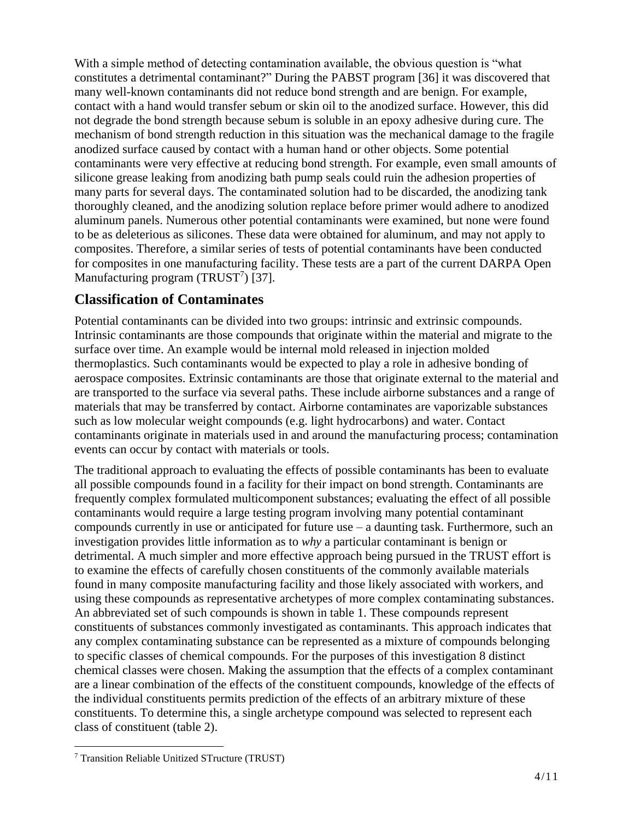With a simple method of detecting contamination available, the obvious question is "what constitutes a detrimental contaminant?" During the PABST program [\[36\]](#page-10-0) it was discovered that many well-known contaminants did not reduce bond strength and are benign. For example, contact with a hand would transfer sebum or skin oil to the anodized surface. However, this did not degrade the bond strength because sebum is soluble in an epoxy adhesive during cure. The mechanism of bond strength reduction in this situation was the mechanical damage to the fragile anodized surface caused by contact with a human hand or other objects. Some potential contaminants were very effective at reducing bond strength. For example, even small amounts of silicone grease leaking from anodizing bath pump seals could ruin the adhesion properties of many parts for several days. The contaminated solution had to be discarded, the anodizing tank thoroughly cleaned, and the anodizing solution replace before primer would adhere to anodized aluminum panels. Numerous other potential contaminants were examined, but none were found to be as deleterious as silicones. These data were obtained for aluminum, and may not apply to composites. Therefore, a similar series of tests of potential contaminants have been conducted for composites in one manufacturing facility. These tests are a part of the current DARPA Open Manufacturing program (TRUST $^7$ ) [\[37\]](#page-10-1).

# **Classification of Contaminates**

Potential contaminants can be divided into two groups: intrinsic and extrinsic compounds. Intrinsic contaminants are those compounds that originate within the material and migrate to the surface over time. An example would be internal mold released in injection molded thermoplastics. Such contaminants would be expected to play a role in adhesive bonding of aerospace composites. Extrinsic contaminants are those that originate external to the material and are transported to the surface via several paths. These include airborne substances and a range of materials that may be transferred by contact. Airborne contaminates are vaporizable substances such as low molecular weight compounds (e.g. light hydrocarbons) and water. Contact contaminants originate in materials used in and around the manufacturing process; contamination events can occur by contact with materials or tools.

The traditional approach to evaluating the effects of possible contaminants has been to evaluate all possible compounds found in a facility for their impact on bond strength. Contaminants are frequently complex formulated multicomponent substances; evaluating the effect of all possible contaminants would require a large testing program involving many potential contaminant compounds currently in use or anticipated for future use – a daunting task. Furthermore, such an investigation provides little information as to *why* a particular contaminant is benign or detrimental. A much simpler and more effective approach being pursued in the TRUST effort is to examine the effects of carefully chosen constituents of the commonly available materials found in many composite manufacturing facility and those likely associated with workers, and using these compounds as representative archetypes of more complex contaminating substances. An abbreviated set of such compounds is shown in table 1. These compounds represent constituents of substances commonly investigated as contaminants. This approach indicates that any complex contaminating substance can be represented as a mixture of compounds belonging to specific classes of chemical compounds. For the purposes of this investigation 8 distinct chemical classes were chosen. Making the assumption that the effects of a complex contaminant are a linear combination of the effects of the constituent compounds, knowledge of the effects of the individual constituents permits prediction of the effects of an arbitrary mixture of these constituents. To determine this, a single archetype compound was selected to represent each class of constituent (table 2).

 $\overline{a}$ <sup>7</sup> Transition Reliable Unitized STructure (TRUST)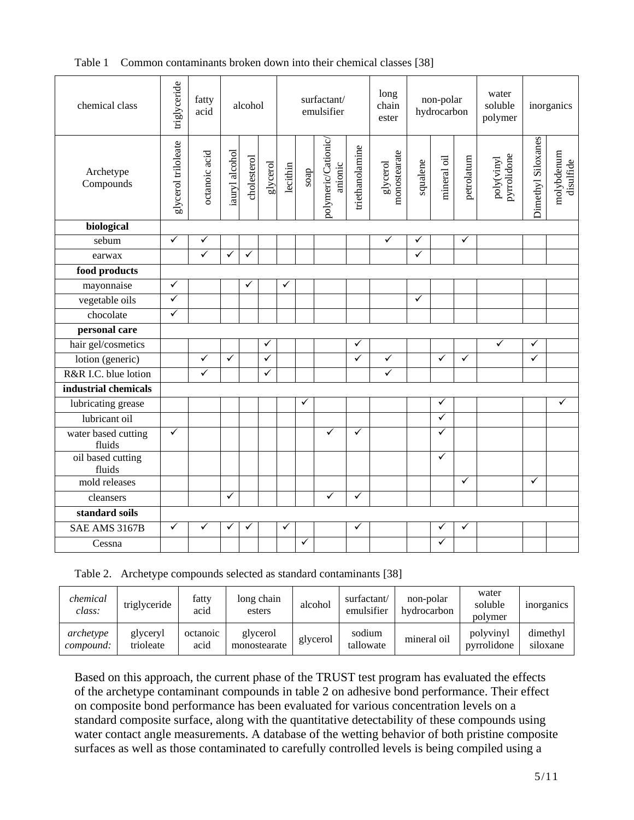| chemical class                | triglyceride        | fatty<br>acid           |                | alcohol      |          |          |              | surfactant/<br>emulsifier      |                 | long<br>chain<br>ester   |          | non-polar<br>hydrocarbon |              | water<br>soluble<br>polymer | inorganics              |                         |
|-------------------------------|---------------------|-------------------------|----------------|--------------|----------|----------|--------------|--------------------------------|-----------------|--------------------------|----------|--------------------------|--------------|-----------------------------|-------------------------|-------------------------|
| Archetype<br>Compounds        | glycerol triloleate | octanoic acid           | iauryl alcohol | cholesterol  | glycerol | lecithin | soap         | polymeric/Cationic/<br>anionic | triethanolamine | monostearate<br>glycerol | squalene | mineral oil              | petrolatum   | pyrrolidone<br>poly(vinyl   | Dimethyl Siloxanes      | molybdenum<br>disulfide |
| biological                    |                     |                         |                |              |          |          |              |                                |                 |                          |          |                          |              |                             |                         |                         |
| sebum                         | ✓                   | ✓                       |                |              |          |          |              |                                |                 | ✓                        | ✓        |                          | $\checkmark$ |                             |                         |                         |
| earwax                        |                     | ✓                       | ✓              | ✓            |          |          |              |                                |                 |                          | ✓        |                          |              |                             |                         |                         |
| food products                 |                     |                         |                |              |          |          |              |                                |                 |                          |          |                          |              |                             |                         |                         |
| mayonnaise                    | $\checkmark$        |                         |                | ✓            |          | ✓        |              |                                |                 |                          |          |                          |              |                             |                         |                         |
| vegetable oils                | ✓                   |                         |                |              |          |          |              |                                |                 |                          | ✓        |                          |              |                             |                         |                         |
| chocolate                     | $\checkmark$        |                         |                |              |          |          |              |                                |                 |                          |          |                          |              |                             |                         |                         |
| personal care                 |                     |                         |                |              |          |          |              |                                |                 |                          |          |                          |              |                             |                         |                         |
| hair gel/cosmetics            |                     |                         |                |              | ✓        |          |              |                                | ✓               |                          |          |                          |              | ✓                           | ✓                       |                         |
| lotion (generic)              |                     | $\checkmark$            | ✓              |              | ✓        |          |              |                                | ✓               | $\checkmark$             |          | $\checkmark$             | $\checkmark$ |                             | $\overline{\checkmark}$ |                         |
| R&R I.C. blue lotion          |                     | $\overline{\checkmark}$ |                |              | ✓        |          |              |                                |                 | $\checkmark$             |          |                          |              |                             |                         |                         |
| industrial chemicals          |                     |                         |                |              |          |          |              |                                |                 |                          |          |                          |              |                             |                         |                         |
| lubricating grease            |                     |                         |                |              |          |          | ✓            |                                |                 |                          |          | ✓                        |              |                             |                         | ✓                       |
| lubricant oil                 |                     |                         |                |              |          |          |              |                                |                 |                          |          | ✓                        |              |                             |                         |                         |
| water based cutting<br>fluids | $\checkmark$        |                         |                |              |          |          |              | ✓                              | ✓               |                          |          | ✓                        |              |                             |                         |                         |
| oil based cutting<br>fluids   |                     |                         |                |              |          |          |              |                                |                 |                          |          | ✓                        |              |                             |                         |                         |
| mold releases                 |                     |                         |                |              |          |          |              |                                |                 |                          |          |                          | $\checkmark$ |                             | $\checkmark$            |                         |
| cleansers                     |                     |                         | ✓              |              |          |          |              | $\checkmark$                   | ✓               |                          |          |                          |              |                             |                         |                         |
| standard soils                |                     |                         |                |              |          |          |              |                                |                 |                          |          |                          |              |                             |                         |                         |
| SAE AMS 3167B                 | $\checkmark$        | ✓                       | ✓              | $\checkmark$ |          | ✓        |              |                                | ✓               |                          |          | ✓                        | ✓            |                             |                         |                         |
| Cessna                        |                     |                         |                |              |          |          | $\checkmark$ |                                |                 |                          |          | ✓                        |              |                             |                         |                         |

Table 1 Common contaminants broken down into their chemical classes [\[38\]](#page-10-2)

Table 2. Archetype compounds selected as standard contaminants [\[38\]](#page-10-2)

| chemical<br>class:            | triglyceride          | fatty<br>acid    | long chain<br>esters     | alcohol  | surfactant/<br>emulsifier | non-polar<br>hydrocarbon | water<br>soluble<br>polymer | inorganics           |
|-------------------------------|-----------------------|------------------|--------------------------|----------|---------------------------|--------------------------|-----------------------------|----------------------|
| archetype<br><i>compound:</i> | glyceryl<br>trioleate | octanoic<br>acid | glycerol<br>monostearate | glycerol | sodium<br>tallowate       | mineral oil              | polyvinyl<br>pyrrolidone    | dimethyl<br>siloxane |

Based on this approach, the current phase of the TRUST test program has evaluated the effects of the archetype contaminant compounds in table 2 on adhesive bond performance. Their effect on composite bond performance has been evaluated for various concentration levels on a standard composite surface, along with the quantitative detectability of these compounds using water contact angle measurements. A database of the wetting behavior of both pristine composite surfaces as well as those contaminated to carefully controlled levels is being compiled using a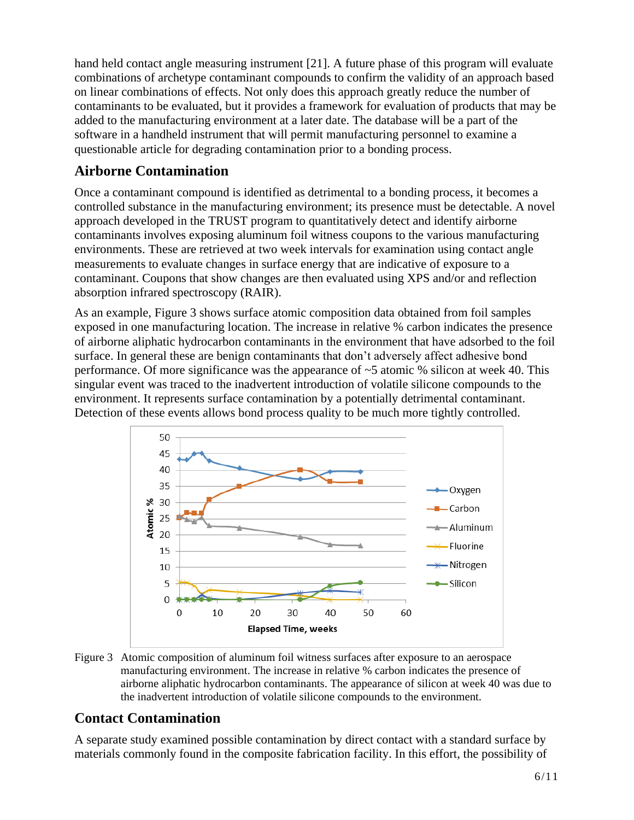hand held contact angle measuring instrument [\[21\]](#page-9-1). A future phase of this program will evaluate combinations of archetype contaminant compounds to confirm the validity of an approach based on linear combinations of effects. Not only does this approach greatly reduce the number of contaminants to be evaluated, but it provides a framework for evaluation of products that may be added to the manufacturing environment at a later date. The database will be a part of the software in a handheld instrument that will permit manufacturing personnel to examine a questionable article for degrading contamination prior to a bonding process.

# **Airborne Contamination**

Once a contaminant compound is identified as detrimental to a bonding process, it becomes a controlled substance in the manufacturing environment; its presence must be detectable. A novel approach developed in the TRUST program to quantitatively detect and identify airborne contaminants involves exposing aluminum foil witness coupons to the various manufacturing environments. These are retrieved at two week intervals for examination using contact angle measurements to evaluate changes in surface energy that are indicative of exposure to a contaminant. Coupons that show changes are then evaluated using XPS and/or and reflection absorption infrared spectroscopy (RAIR).

As an example, Figure 3 shows surface atomic composition data obtained from foil samples exposed in one manufacturing location. The increase in relative % carbon indicates the presence of airborne aliphatic hydrocarbon contaminants in the environment that have adsorbed to the foil surface. In general these are benign contaminants that don't adversely affect adhesive bond performance. Of more significance was the appearance of ~5 atomic % silicon at week 40. This singular event was traced to the inadvertent introduction of volatile silicone compounds to the environment. It represents surface contamination by a potentially detrimental contaminant. Detection of these events allows bond process quality to be much more tightly controlled.



Figure 3 Atomic composition of aluminum foil witness surfaces after exposure to an aerospace manufacturing environment. The increase in relative % carbon indicates the presence of airborne aliphatic hydrocarbon contaminants. The appearance of silicon at week 40 was due to the inadvertent introduction of volatile silicone compounds to the environment.

# **Contact Contamination**

A separate study examined possible contamination by direct contact with a standard surface by materials commonly found in the composite fabrication facility. In this effort, the possibility of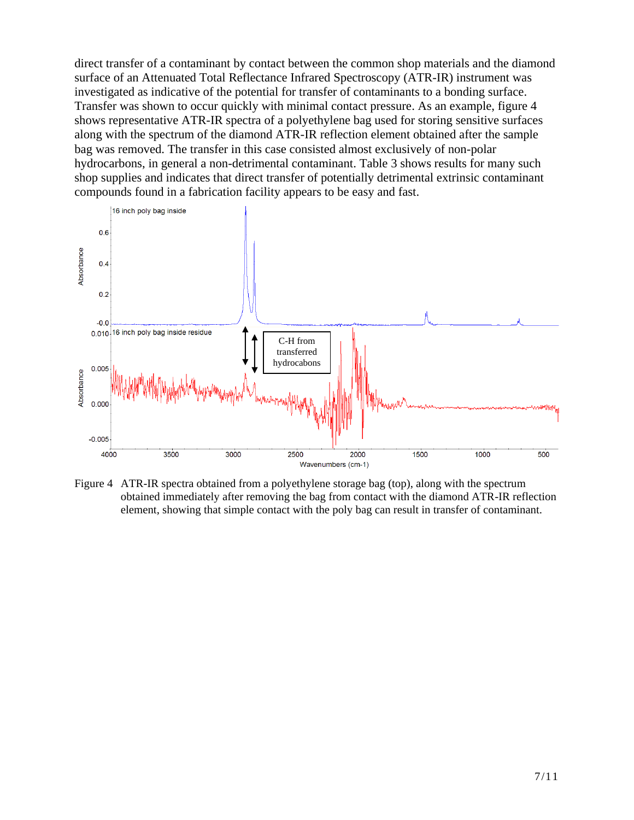direct transfer of a contaminant by contact between the common shop materials and the diamond surface of an Attenuated Total Reflectance Infrared Spectroscopy (ATR-IR) instrument was investigated as indicative of the potential for transfer of contaminants to a bonding surface. Transfer was shown to occur quickly with minimal contact pressure. As an example, figure 4 shows representative ATR-IR spectra of a polyethylene bag used for storing sensitive surfaces along with the spectrum of the diamond ATR-IR reflection element obtained after the sample bag was removed. The transfer in this case consisted almost exclusively of non-polar hydrocarbons, in general a non-detrimental contaminant. Table 3 shows results for many such shop supplies and indicates that direct transfer of potentially detrimental extrinsic contaminant compounds found in a fabrication facility appears to be easy and fast.



Figure 4 ATR-IR spectra obtained from a polyethylene storage bag (top), along with the spectrum obtained immediately after removing the bag from contact with the diamond ATR-IR reflection element, showing that simple contact with the poly bag can result in transfer of contaminant.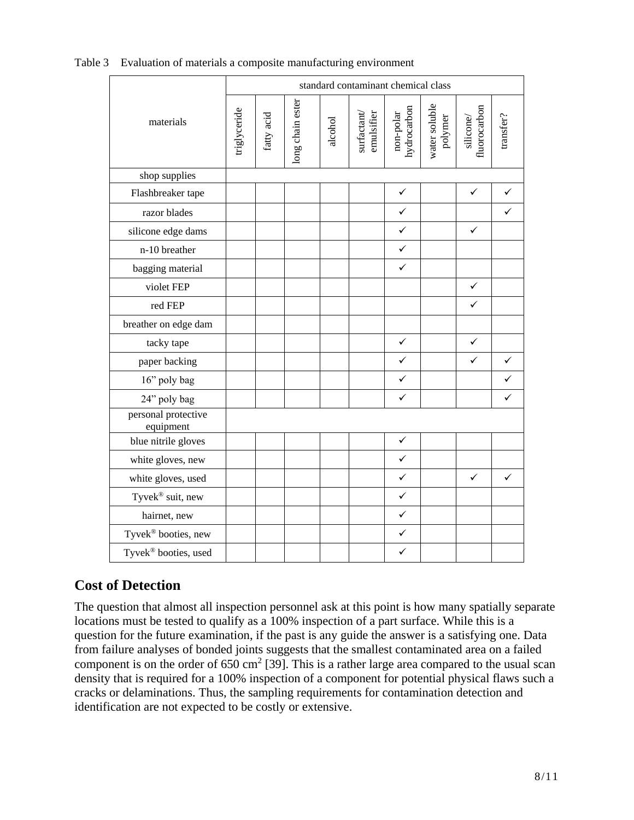|                                           | standard contaminant chemical class |                    |                  |         |                             |                          |                          |                           |              |  |  |
|-------------------------------------------|-------------------------------------|--------------------|------------------|---------|-----------------------------|--------------------------|--------------------------|---------------------------|--------------|--|--|
| materials                                 | triglyceride                        | $\mbox{faty}$ acid | long chain ester | alcohol | $\text{surface}$ emulsifier | non-polar<br>hydrocarbon | water soluble<br>polymer | fluorocarbon<br>silicone/ | transfer?    |  |  |
| shop supplies                             |                                     |                    |                  |         |                             |                          |                          |                           |              |  |  |
| Flashbreaker tape                         |                                     |                    |                  |         |                             | $\checkmark$             |                          | $\checkmark$              | ✓            |  |  |
| razor blades                              |                                     |                    |                  |         |                             | $\checkmark$             |                          |                           | $\checkmark$ |  |  |
| silicone edge dams                        |                                     |                    |                  |         |                             | $\checkmark$             |                          | $\checkmark$              |              |  |  |
| n-10 breather                             |                                     |                    |                  |         |                             | $\checkmark$             |                          |                           |              |  |  |
| bagging material                          |                                     |                    |                  |         |                             | $\checkmark$             |                          |                           |              |  |  |
| violet FEP                                |                                     |                    |                  |         |                             |                          |                          | $\checkmark$              |              |  |  |
| red FEP                                   |                                     |                    |                  |         |                             |                          |                          | $\checkmark$              |              |  |  |
| breather on edge dam                      |                                     |                    |                  |         |                             |                          |                          |                           |              |  |  |
| tacky tape                                |                                     |                    |                  |         |                             | $\checkmark$             |                          | $\checkmark$              |              |  |  |
| paper backing                             |                                     |                    |                  |         |                             | ✓                        |                          | $\checkmark$              | ✓            |  |  |
| 16" poly bag                              |                                     |                    |                  |         |                             | $\checkmark$             |                          |                           | $\checkmark$ |  |  |
| 24" poly bag                              |                                     |                    |                  |         |                             | $\checkmark$             |                          |                           | $\checkmark$ |  |  |
| personal protective<br>equipment          |                                     |                    |                  |         |                             |                          |                          |                           |              |  |  |
| blue nitrile gloves                       |                                     |                    |                  |         |                             | $\checkmark$             |                          |                           |              |  |  |
| white gloves, new                         |                                     |                    |                  |         |                             | $\checkmark$             |                          |                           |              |  |  |
| white gloves, used                        |                                     |                    |                  |         |                             | $\checkmark$             |                          | $\checkmark$              | $\checkmark$ |  |  |
| Tyvek® suit, new                          |                                     |                    |                  |         |                             | $\checkmark$             |                          |                           |              |  |  |
| hairnet, new                              |                                     |                    |                  |         |                             | $\checkmark$             |                          |                           |              |  |  |
| Tyvek® booties, new                       |                                     |                    |                  |         |                             | $\checkmark$             |                          |                           |              |  |  |
| ${\rm Tyvek}^{\circledast}$ booties, used |                                     |                    |                  |         |                             | $\checkmark$             |                          |                           |              |  |  |

Table 3 Evaluation of materials a composite manufacturing environment

# **Cost of Detection**

The question that almost all inspection personnel ask at this point is how many spatially separate locations must be tested to qualify as a 100% inspection of a part surface. While this is a question for the future examination, if the past is any guide the answer is a satisfying one. Data from failure analyses of bonded joints suggests that the smallest contaminated area on a failed component is on the order of  $650 \text{ cm}^2$  [\[39\]](#page-10-3). This is a rather large area compared to the usual scan density that is required for a 100% inspection of a component for potential physical flaws such a cracks or delaminations. Thus, the sampling requirements for contamination detection and identification are not expected to be costly or extensive.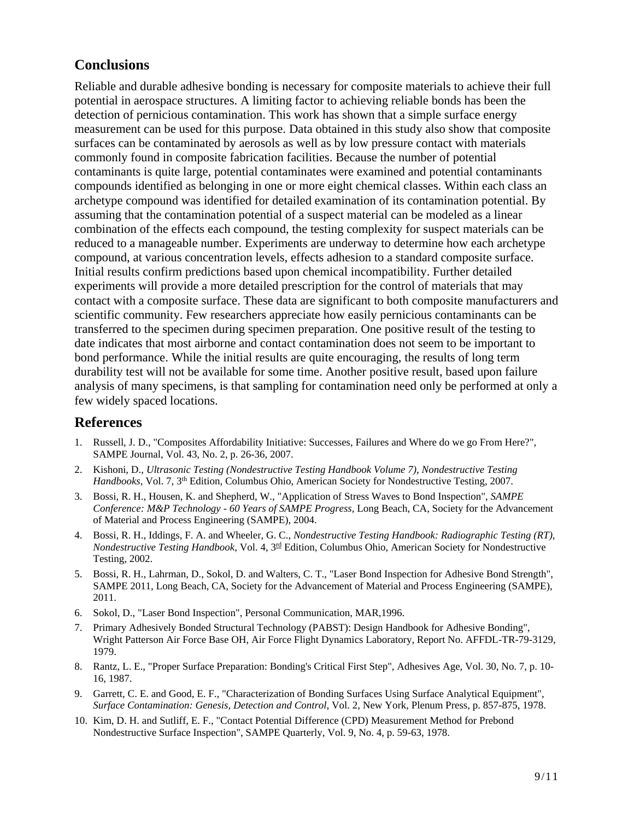# **Conclusions**

Reliable and durable adhesive bonding is necessary for composite materials to achieve their full potential in aerospace structures. A limiting factor to achieving reliable bonds has been the detection of pernicious contamination. This work has shown that a simple surface energy measurement can be used for this purpose. Data obtained in this study also show that composite surfaces can be contaminated by aerosols as well as by low pressure contact with materials commonly found in composite fabrication facilities. Because the number of potential contaminants is quite large, potential contaminates were examined and potential contaminants compounds identified as belonging in one or more eight chemical classes. Within each class an archetype compound was identified for detailed examination of its contamination potential. By assuming that the contamination potential of a suspect material can be modeled as a linear combination of the effects each compound, the testing complexity for suspect materials can be reduced to a manageable number. Experiments are underway to determine how each archetype compound, at various concentration levels, effects adhesion to a standard composite surface. Initial results confirm predictions based upon chemical incompatibility. Further detailed experiments will provide a more detailed prescription for the control of materials that may contact with a composite surface. These data are significant to both composite manufacturers and scientific community. Few researchers appreciate how easily pernicious contaminants can be transferred to the specimen during specimen preparation. One positive result of the testing to date indicates that most airborne and contact contamination does not seem to be important to bond performance. While the initial results are quite encouraging, the results of long term durability test will not be available for some time. Another positive result, based upon failure analysis of many specimens, is that sampling for contamination need only be performed at only a few widely spaced locations.

#### **References**

- <span id="page-8-0"></span>1. Russell, J. D., "Composites Affordability Initiative: Successes, Failures and Where do we go From Here?", SAMPE Journal, Vol. 43, No. 2, p. 26-36, 2007.
- <span id="page-8-1"></span>2. Kishoni, D., *Ultrasonic Testing (Nondestructive Testing Handbook Volume 7)*, *Nondestructive Testing Handbooks*, Vol. 7, 3th Edition, Columbus Ohio, American Society for Nondestructive Testing, 2007.
- <span id="page-8-2"></span>3. Bossi, R. H., Housen, K. and Shepherd, W., "Application of Stress Waves to Bond Inspection", *SAMPE Conference: M&P Technology - 60 Years of SAMPE Progress*, Long Beach, CA, Society for the Advancement of Material and Process Engineering (SAMPE), 2004.
- 4. Bossi, R. H., Iddings, F. A. and Wheeler, G. C., *Nondestructive Testing Handbook: Radiographic Testing (RT)*, *Nondestructive Testing Handbook*, Vol. 4, 3rd Edition, Columbus Ohio, American Society for Nondestructive Testing, 2002.
- 5. Bossi, R. H., Lahrman, D., Sokol, D. and Walters, C. T., "Laser Bond Inspection for Adhesive Bond Strength", SAMPE 2011, Long Beach, CA, Society for the Advancement of Material and Process Engineering (SAMPE), 2011.
- <span id="page-8-3"></span>6. Sokol, D., "Laser Bond Inspection", Personal Communication, MAR,1996.
- <span id="page-8-4"></span>7. Primary Adhesively Bonded Structural Technology (PABST): Design Handbook for Adhesive Bonding", Wright Patterson Air Force Base OH, Air Force Flight Dynamics Laboratory, Report No. AFFDL-TR-79-3129, 1979.
- <span id="page-8-5"></span>8. Rantz, L. E., "Proper Surface Preparation: Bonding's Critical First Step", Adhesives Age, Vol. 30, No. 7, p. 10- 16, 1987.
- <span id="page-8-6"></span>9. Garrett, C. E. and Good, E. F., "Characterization of Bonding Surfaces Using Surface Analytical Equipment", *Surface Contamination: Genesis, Detection and Control*, Vol. 2, New York, Plenum Press, p. 857-875, 1978.
- 10. Kim, D. H. and Sutliff, E. F., "Contact Potential Difference (CPD) Measurement Method for Prebond Nondestructive Surface Inspection", SAMPE Quarterly, Vol. 9, No. 4, p. 59-63, 1978.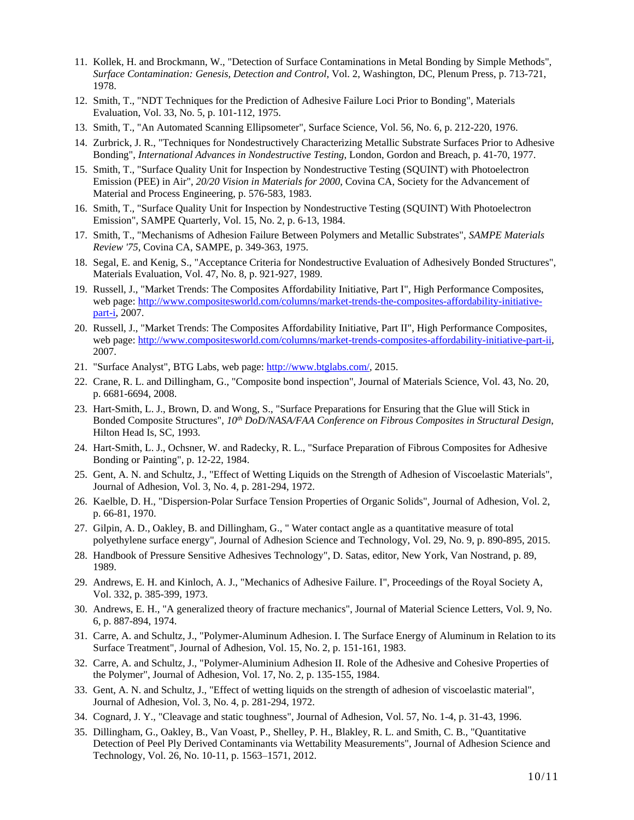- 11. Kollek, H. and Brockmann, W., "Detection of Surface Contaminations in Metal Bonding by Simple Methods", *Surface Contamination: Genesis, Detection and Control*, Vol. 2, Washington, DC, Plenum Press, p. 713-721, 1978.
- 12. Smith, T., "NDT Techniques for the Prediction of Adhesive Failure Loci Prior to Bonding", Materials Evaluation, Vol. 33, No. 5, p. 101-112, 1975.
- 13. Smith, T., "An Automated Scanning Ellipsometer", Surface Science, Vol. 56, No. 6, p. 212-220, 1976.
- 14. Zurbrick, J. R., "Techniques for Nondestructively Characterizing Metallic Substrate Surfaces Prior to Adhesive Bonding", *International Advances in Nondestructive Testing*, London, Gordon and Breach, p. 41-70, 1977.
- 15. Smith, T., "Surface Quality Unit for Inspection by Nondestructive Testing (SQUINT) with Photoelectron Emission (PEE) in Air", *20/20 Vision in Materials for 2000*, Covina CA, Society for the Advancement of Material and Process Engineering, p. 576-583, 1983.
- 16. Smith, T., "Surface Quality Unit for Inspection by Nondestructive Testing (SQUINT) With Photoelectron Emission", SAMPE Quarterly, Vol. 15, No. 2, p. 6-13, 1984.
- 17. Smith, T., "Mechanisms of Adhesion Failure Between Polymers and Metallic Substrates", *SAMPE Materials Review '75*, Covina CA, SAMPE, p. 349-363, 1975.
- <span id="page-9-0"></span>18. Segal, E. and Kenig, S., "Acceptance Criteria for Nondestructive Evaluation of Adhesively Bonded Structures", Materials Evaluation, Vol. 47, No. 8, p. 921-927, 1989.
- 19. Russell, J., "Market Trends: The Composites Affordability Initiative, Part I", High Performance Composites, web page: [http://www.compositesworld.com/columns/market-trends-the-composites-affordability-initiative](http://www.compositesworld.com/columns/market-trends-the-composites-affordability-initiative-part-i)[part-i,](http://www.compositesworld.com/columns/market-trends-the-composites-affordability-initiative-part-i) 2007.
- 20. Russell, J., "Market Trends: The Composites Affordability Initiative, Part II", High Performance Composites, web page: [http://www.compositesworld.com/columns/market-trends-composites-affordability-initiative-part-ii,](http://www.compositesworld.com/columns/market-trends-composites-affordability-initiative-part-ii) 2007.
- <span id="page-9-1"></span>21. "Surface Analyst", BTG Labs, web page[: http://www.btglabs.com/,](http://www.btglabs.com/) 2015.
- <span id="page-9-2"></span>22. Crane, R. L. and Dillingham, G., "Composite bond inspection", Journal of Materials Science, Vol. 43, No. 20, p. 6681-6694, 2008.
- <span id="page-9-3"></span>23. Hart-Smith, L. J., Brown, D. and Wong, S., "Surface Preparations for Ensuring that the Glue will Stick in Bonded Composite Structures", *10th DoD/NASA/FAA Conference on Fibrous Composites in Structural Design*, Hilton Head Is, SC, 1993.
- 24. Hart-Smith, L. J., Ochsner, W. and Radecky, R. L., "Surface Preparation of Fibrous Composites for Adhesive Bonding or Painting", p. 12-22, 1984.
- 25. Gent, A. N. and Schultz, J., "Effect of Wetting Liquids on the Strength of Adhesion of Viscoelastic Materials", Journal of Adhesion, Vol. 3, No. 4, p. 281-294, 1972.
- <span id="page-9-4"></span>26. Kaelble, D. H., "Dispersion-Polar Surface Tension Properties of Organic Solids", Journal of Adhesion, Vol. 2, p. 66-81, 1970.
- <span id="page-9-5"></span>27. Gilpin, A. D., Oakley, B. and Dillingham, G., " Water contact angle as a quantitative measure of total polyethylene surface energy", Journal of Adhesion Science and Technology, Vol. 29, No. 9, p. 890-895, 2015.
- <span id="page-9-6"></span>28. Handbook of Pressure Sensitive Adhesives Technology", D. Satas, editor, New York, Van Nostrand, p. 89, 1989.
- <span id="page-9-7"></span>29. Andrews, E. H. and Kinloch, A. J., "Mechanics of Adhesive Failure. I", Proceedings of the Royal Society A, Vol. 332, p. 385-399, 1973.
- <span id="page-9-8"></span>30. Andrews, E. H., "A generalized theory of fracture mechanics", Journal of Material Science Letters, Vol. 9, No. 6, p. 887-894, 1974.
- 31. Carre, A. and Schultz, J., "Polymer-Aluminum Adhesion. I. The Surface Energy of Aluminum in Relation to its Surface Treatment", Journal of Adhesion, Vol. 15, No. 2, p. 151-161, 1983.
- 32. Carre, A. and Schultz, J., "Polymer-Aluminium Adhesion II. Role of the Adhesive and Cohesive Properties of the Polymer", Journal of Adhesion, Vol. 17, No. 2, p. 135-155, 1984.
- 33. Gent, A. N. and Schultz, J., "Effect of wetting liquids on the strength of adhesion of viscoelastic material", Journal of Adhesion, Vol. 3, No. 4, p. 281-294, 1972.
- 34. Cognard, J. Y., "Cleavage and static toughness", Journal of Adhesion, Vol. 57, No. 1-4, p. 31-43, 1996.
- <span id="page-9-9"></span>35. Dillingham, G., Oakley, B., Van Voast, P., Shelley, P. H., Blakley, R. L. and Smith, C. B., "Quantitative Detection of Peel Ply Derived Contaminants via Wettability Measurements", Journal of Adhesion Science and Technology, Vol. 26, No. 10-11, p. 1563–1571, 2012.